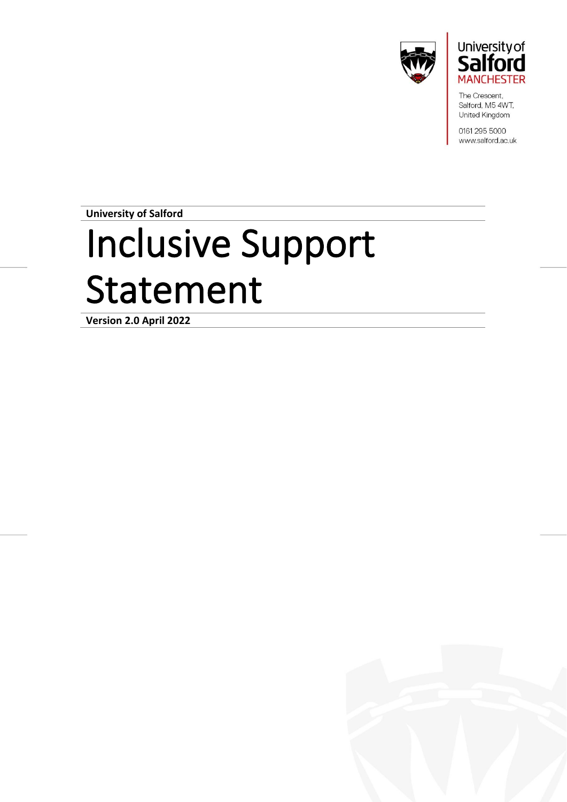



The Crescent, Salford, M5 4WT, United Kingdom

0161 295 5000 www.salford.ac.uk

**University of Salford**

# Inclusive Support Statement

**Version 2.0 April 2022**

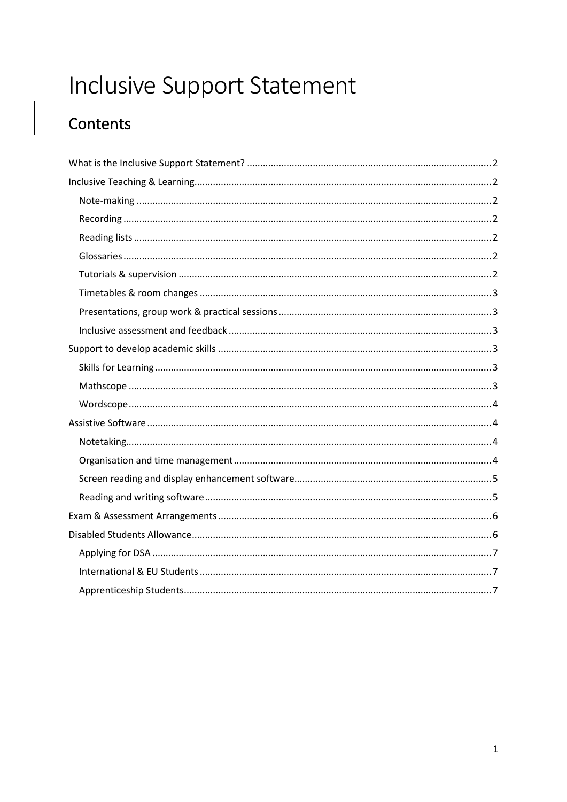# Inclusive Support Statement

# Contents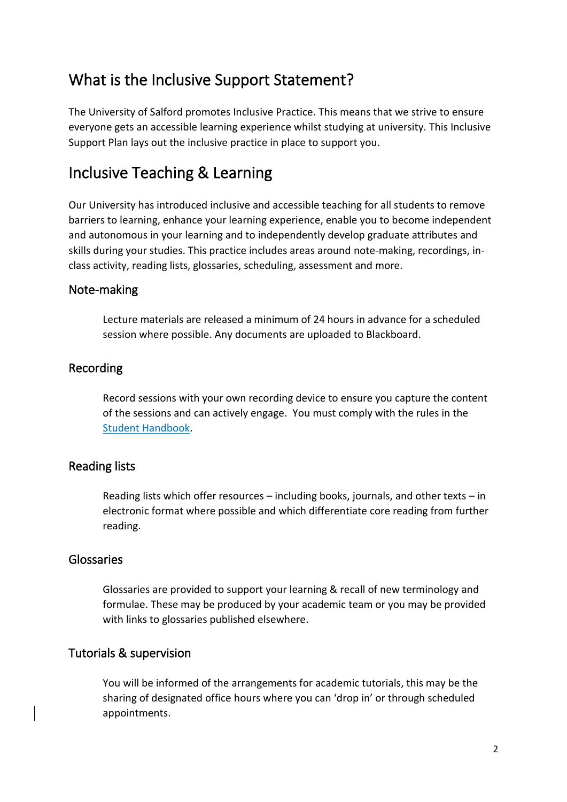# <span id="page-2-0"></span>What is the Inclusive Support Statement?

The University of Salford promotes Inclusive Practice. This means that we strive to ensure everyone gets an accessible learning experience whilst studying at university. This Inclusive Support Plan lays out the inclusive practice in place to support you.

# <span id="page-2-1"></span>Inclusive Teaching & Learning

Our University has introduced inclusive and accessible teaching for all students to remove barriers to learning, enhance your learning experience, enable you to become independent and autonomous in your learning and to independently develop graduate attributes and skills during your studies. This practice includes areas around note-making, recordings, inclass activity, reading lists, glossaries, scheduling, assessment and more.

#### <span id="page-2-2"></span>Note-making

Lecture materials are released a minimum of 24 hours in advance for a scheduled session where possible. Any documents are uploaded to Blackboard.

#### <span id="page-2-3"></span>Recording

Record sessions with your own recording device to ensure you capture the content of the sessions and can actively engage. You must comply with the rules in the [Student Handbook.](https://testlivesalfordac.sharepoint.com/sites/Uos_Students/SitePages/Audio-Recording-of-Teaching-Sessions.aspx)

#### <span id="page-2-4"></span>Reading lists

Reading lists which offer resources – including books, journals, and other texts – in electronic format where possible and which differentiate core reading from further reading.

#### <span id="page-2-5"></span>Glossaries

Glossaries are provided to support your learning & recall of new terminology and formulae. These may be produced by your academic team or you may be provided with links to glossaries published elsewhere.

#### <span id="page-2-6"></span>Tutorials & supervision

You will be informed of the arrangements for academic tutorials, this may be the sharing of designated office hours where you can 'drop in' or through scheduled appointments.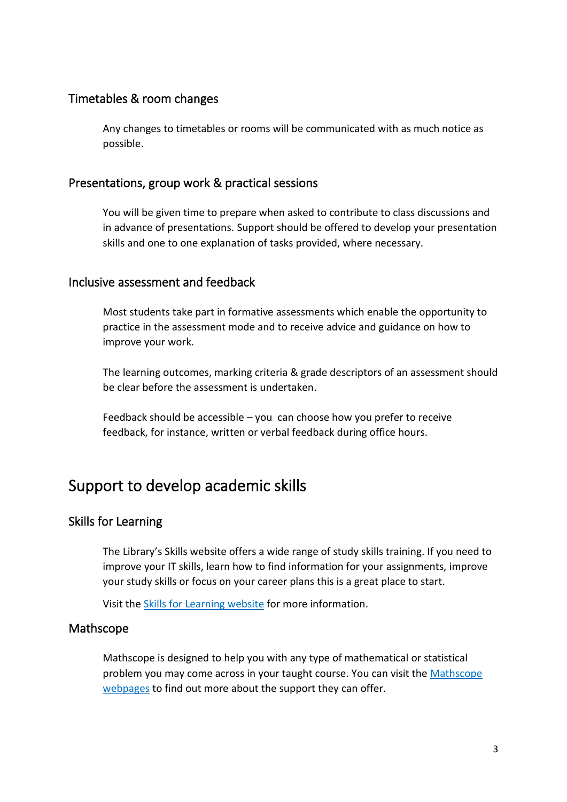#### <span id="page-3-0"></span>Timetables & room changes

Any changes to timetables or rooms will be communicated with as much notice as possible.

#### <span id="page-3-1"></span>Presentations, group work & practical sessions

You will be given time to prepare when asked to contribute to class discussions and in advance of presentations. Support should be offered to develop your presentation skills and one to one explanation of tasks provided, where necessary.

#### <span id="page-3-2"></span>Inclusive assessment and feedback

Most students take part in formative assessments which enable the opportunity to practice in the assessment mode and to receive advice and guidance on how to improve your work.

The learning outcomes, marking criteria & grade descriptors of an assessment should be clear before the assessment is undertaken.

Feedback should be accessible – you can choose how you prefer to receive feedback, for instance, written or verbal feedback during office hours.

### <span id="page-3-3"></span>Support to develop academic skills

#### <span id="page-3-4"></span>Skills for Learning

The Library's Skills website offers a wide range of study skills training. If you need to improve your IT skills, learn how to find information for your assignments, improve your study skills or focus on your career plans this is a great place to start.

Visit th[e Skills for Learning website](https://www.salford.ac.uk/skills) for more information.

#### <span id="page-3-5"></span>Mathscope

Mathscope is designed to help you with any type of mathematical or statistical problem you may come across in your taught course. You can visit the [Mathscope](http://www.salford.ac.uk/skills/maths-and-numeracy/mathscope)  [webpages](http://www.salford.ac.uk/skills/maths-and-numeracy/mathscope) to find out more about the support they can offer.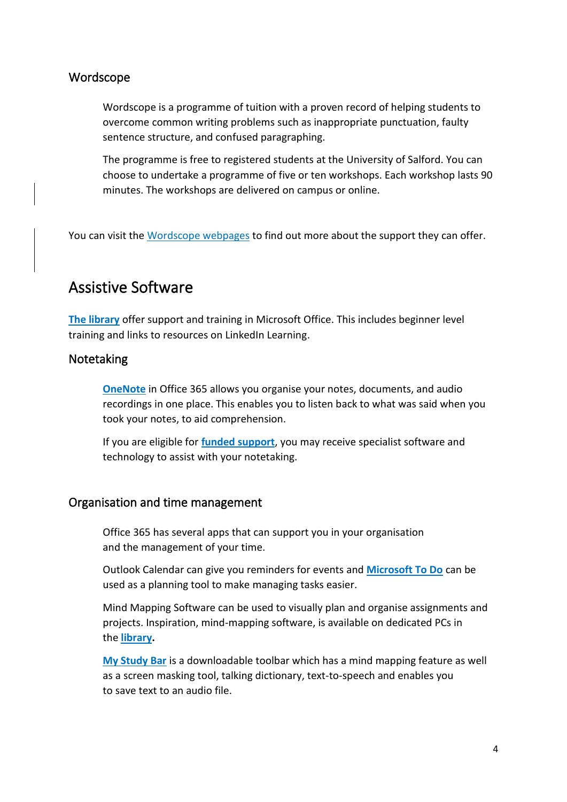#### <span id="page-4-0"></span>Wordscope

Wordscope is a programme of tuition with a proven record of helping students to overcome common writing problems such as inappropriate punctuation, faulty sentence structure, and confused paragraphing.

The programme is free to registered students at the University of Salford. You can choose to undertake a programme of five or ten workshops. Each workshop lasts 90 minutes. The workshops are delivered on campus or online.

You can visit the [Wordscope webpages](https://www.salford.ac.uk/skills/writing-support/wordscope) to find out more about the support they can offer.

### <span id="page-4-1"></span>Assistive Software

**[The library](https://www.salford.ac.uk/skills/it-skills/microsoft-office-courses)** offer support and training in Microsoft Office. This includes beginner level training and links to resources on LinkedIn Learning.

#### <span id="page-4-2"></span>Notetaking

**[OneNote](https://www.microsoft.com/en-gb/microsoft-365/onenote/digital-note-taking-app)** in Office 365 allows you organise your notes, documents, and audio recordings in one place. This enables you to listen back to what was said when you took your notes, to aid comprehension.

If you are eligible for **[funded support](https://www.salford.ac.uk/askus/support/disability-and-learner-support/funding-support)**, you may receive specialist software and technology to assist with your notetaking.

#### <span id="page-4-3"></span>Organisation and time management

Office 365 has several apps that can support you in your organisation and the management of your time.

Outlook Calendar can give you reminders for events and **[Microsoft To Do](https://www.microsoft.com/en-us/microsoft-365/microsoft-to-do-list-app)** can be used as a planning tool to make managing tasks easier.

Mind Mapping Software can be used to visually plan and organise assignments and projects. Inspiration, mind-mapping software, is available on dedicated PCs in the **[library.](https://www.salford.ac.uk/library/help-and-support/disability-support)**

**[My Study Bar](http://www.salford.ac.uk/__data/assets/pdf_file/0005/471119/My-Study-Bar-general-guide.pdf)** is a downloadable toolbar which has a mind mapping feature as well as a screen masking tool, talking dictionary, text-to-speech and enables you to save text to an audio file.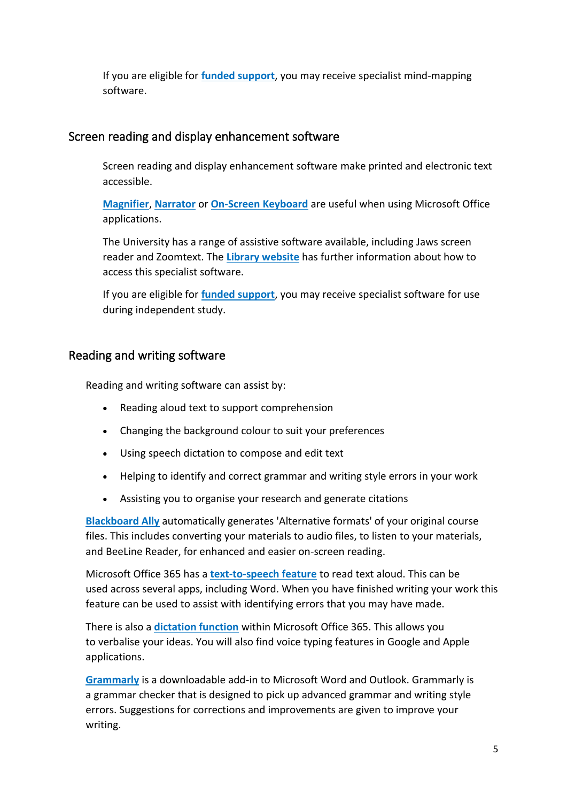If you are eligible for **[funded support](https://www.salford.ac.uk/askus/support/disability-and-learner-support/funding-support)**, you may receive specialist mind-mapping software.

#### <span id="page-5-0"></span>Screen reading and display enhancement software

Screen reading and display enhancement software make printed and electronic text accessible.

**[Magnifier](https://support.microsoft.com/en-us/windows/use-magnifier-to-make-things-on-the-screen-easier-to-see-414948ba-8b1c-d3bd-8615-0e5e32204198)**, **[Narrator](https://support.microsoft.com/en-us/windows/complete-guide-to-narrator-e4397a0d-ef4f-b386-d8ae-c172f109bdb1)** or **[On-Screen Keyboard](https://support.microsoft.com/en-us/windows/use-the-on-screen-keyboard-osk-to-type-ecbb5e08-5b4e-d8c8-f794-81dbf896267a#:~:text=Go%20to%20Start%20%2c%20then%20select%2cscreen%20until%20you%20close%20it.)** are useful when using Microsoft Office applications.

The University has a range of assistive software available, including Jaws screen reader and Zoomtext. The **[Library website](https://www.salford.ac.uk/library/help-and-support/disability-support)** has further information about how to access this specialist software.

If you are eligible for **[funded support](https://www.salford.ac.uk/askus/support/disability-and-learner-support/funding-support)**, you may receive specialist software for use during independent study.

#### <span id="page-5-1"></span>Reading and writing software

Reading and writing software can assist by:

- Reading aloud text to support comprehension
- Changing the background colour to suit your preferences
- Using speech dictation to compose and edit text
- Helping to identify and correct grammar and writing style errors in your work
- Assisting you to organise your research and generate citations

**[Blackboard Ally](https://help.blackboard.com/Ally/Ally_for_LMS/Student/Quick_Start)** automatically generates 'Alternative formats' of your original course files. This includes converting your materials to audio files, to listen to your materials, and BeeLine Reader, for enhanced and easier on-screen reading.

Microsoft Office 365 has a **[text-to-speech feature](https://support.microsoft.com/en-us/office/use-the-speak-text-to-speech-feature-to-read-text-aloud-459e7704-a76d-4fe2-ab48-189d6b83333c)** to read text aloud. This can be used across several apps, including Word. When you have finished writing your work this feature can be used to assist with identifying errors that you may have made.

There is also a **[dictation function](https://support.microsoft.com/en-us/office/dictate-your-documents-in-word-3876e05f-3fcc-418f-b8ab-db7ce0d11d3c)** within Microsoft Office 365. This allows you to verbalise your ideas. You will also find voice typing features in Google and Apple applications.

**[Grammarly](http://www.grammarly.com/office-addin)** is a downloadable add-in to Microsoft Word and Outlook. Grammarly is a grammar checker that is designed to pick up advanced grammar and writing style errors. Suggestions for corrections and improvements are given to improve your writing.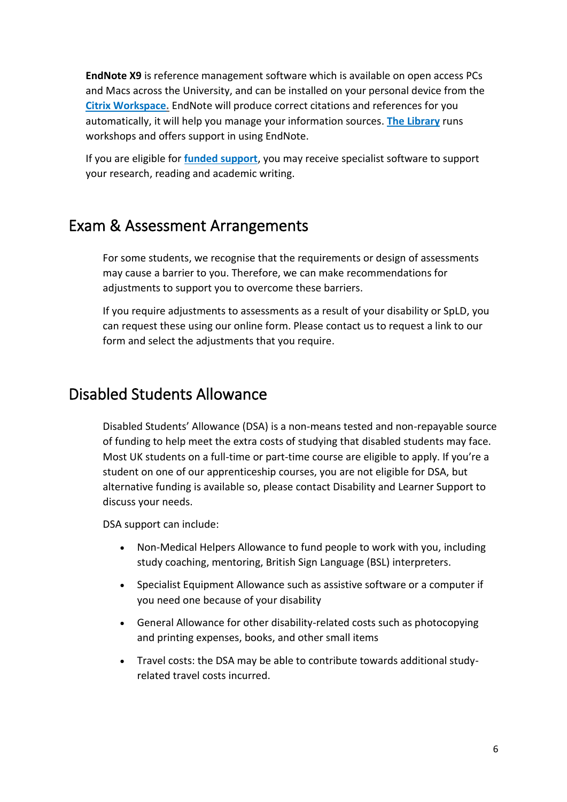**EndNote X9** is reference management software which is available on open access PCs and Macs across the University, and can be installed on your personal device from the **[Citrix Workspace.](https://testlivesalfordac.sharepoint.com/sites/Uos_Students/SitePages/Access-University-Applications-Remotely(1).aspx)** EndNote will produce correct citations and references for you automatically, it will help you manage your information sources. **[The Library](https://www.salford.ac.uk/skills/referencing/endnote-reference-management-software)** runs workshops and offers support in using EndNote.

If you are eligible for **[funded support](https://www.salford.ac.uk/askus/support/disability-and-learner-support/funding-support)**, you may receive specialist software to support your research, reading and academic writing.

# <span id="page-6-0"></span>Exam & Assessment Arrangements

For some students, we recognise that the requirements or design of assessments may cause a barrier to you. Therefore, we can make recommendations for adjustments to support you to overcome these barriers.

If you require adjustments to assessments as a result of your disability or SpLD, you can request these using our online form. Please contact us to request a link to our form and select the adjustments that you require.

# <span id="page-6-1"></span>Disabled Students Allowance

Disabled Students' Allowance (DSA) is a non-means tested and non-repayable source of funding to help meet the extra costs of studying that disabled students may face. Most UK students on a full-time or part-time course are eligible to apply. If you're a student on one of our apprenticeship courses, you are not eligible for DSA, but alternative funding is available so, please contact Disability and Learner Support to discuss your needs.

DSA support can include:

- Non-Medical Helpers Allowance to fund people to work with you, including study coaching, mentoring, British Sign Language (BSL) interpreters.
- Specialist Equipment Allowance such as assistive software or a computer if you need one because of your disability
- General Allowance for other disability-related costs such as photocopying and printing expenses, books, and other small items
- Travel costs: the DSA may be able to contribute towards additional studyrelated travel costs incurred.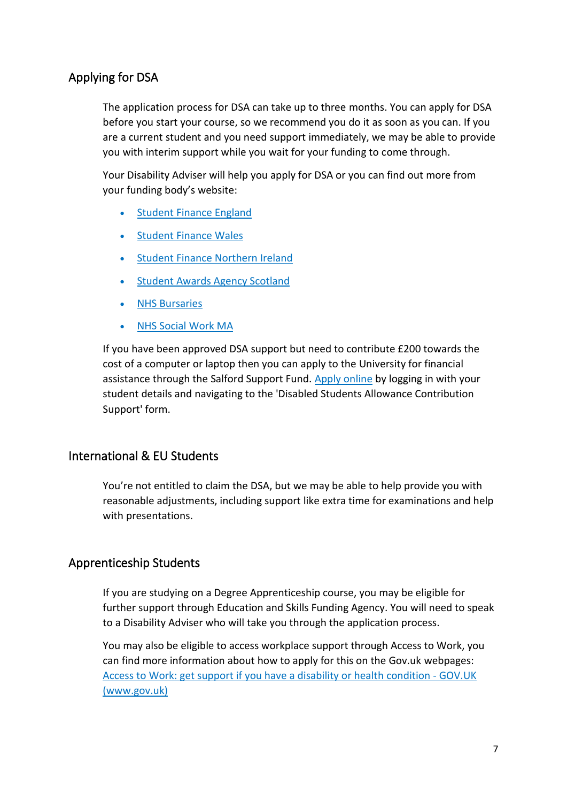#### <span id="page-7-0"></span>Applying for DSA

The application process for DSA can take up to three months. You can apply for DSA before you start your course, so we recommend you do it as soon as you can. If you are a current student and you need support immediately, we may be able to provide you with interim support while you wait for your funding to come through.

Your Disability Adviser will help you apply for DSA or you can find out more from your funding body's website:

- **[Student Finance England](https://www.gov.uk/disabled-students-allowances-dsas/eligibility)**
- [Student Finance Wales](http://www.studentfinancewales.co.uk/)
- [Student Finance Northern Ireland](https://www.studentfinanceni.co.uk/types-of-finance/postgraduate/northern-ireland-student/extra-help/disabled-students-allowances/what-are-they/)
- [Student Awards Agency Scotland](http://www.saas.gov.uk/forms_and_guides/dsa.htm)
- **[NHS Bursaries](http://www.nhsbsa.nhs.uk/Students/3942.aspx)**
- [NHS Social Work MA](http://www.nhsbsa.nhs.uk/Students/986.aspx)

If you have been approved DSA support but need to contribute £200 towards the cost of a computer or laptop then you can apply to the University for financial assistance through the Salford Support Fund. [Apply online](https://myadvantage.salford.ac.uk/Form.aspx?id=1026224) by logging in with your student details and navigating to the 'Disabled Students Allowance Contribution Support' form.

#### <span id="page-7-1"></span>International & EU Students

You're not entitled to claim the DSA, but we may be able to help provide you with reasonable adjustments, including support like extra time for examinations and help with presentations.

#### <span id="page-7-2"></span>Apprenticeship Students

If you are studying on a Degree Apprenticeship course, you may be eligible for further support through Education and Skills Funding Agency. You will need to speak to a Disability Adviser who will take you through the application process.

You may also be eligible to access workplace support through Access to Work, you can find more information about how to apply for this on the Gov.uk webpages: [Access to Work: get support if you have a disability or health condition -](https://www.gov.uk/access-to-work) GOV.UK [\(www.gov.uk\)](https://www.gov.uk/access-to-work)